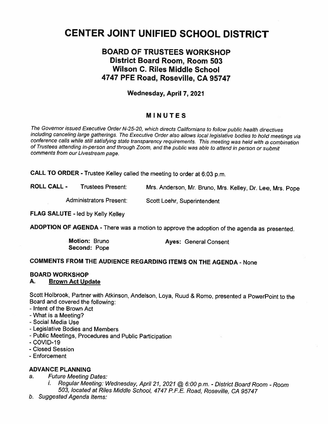# **CENTER JOINT UNIFIED SCHOOL DISTRICT**

# **BOARD OF TRUSTEES WORKSHOP District Board Room, Room 503 Wilson C. Riles Middle School 4747 PFE Road, Roseville, CA 95747**

### **Wednesday, April 7, 2021**

## **MINUTES**

The Governor issued Executive Order N-25-20, which directs Californians to follow public health directives including canceling large gatherings. The Executive Order also allows local legislative bodies to hold meetings via conference calls while still satisfying state transparency requirements. This meeting was held with a combination of Trustees attending in-person and through Zoom, and the public was able to attend in person or submit comments from our Livestream page.

**CALL TO ORDER** - Trustee Kelley called the meeting to order at 6:03 p.m.

**ROLL CALL-** Trustees Present: Mrs. Anderson, Mr. Bruno, Mrs. Kelley, Dr. Lee, Mrs. Pope

> Administrators Present: Scott Loehr, Superintendent

**FLAG SALUTE** - led by Kelly Kelley

**ADOPTION OF AGENDA** - There was a motion to approve the adoption of the agenda as presented.

. **Motion:** Bruno **Second:** Pope

**Ayes:** General Consent

### **COMMENTS FROM THE AUDIENCE REGARDING ITEMS ON THE AGENDA** - None

#### **BOARD WORKSHOP**

#### **A. Brown Act Update**

Scott Holbrook, Partner with Atkinson, Andelson, Loya, Ruud & Romo, presented a PowerPoint to the Board and covered the following:

- Intent of the Brown Act

- What is a Meeting?
- Social Media Use
- Legislative Bodies and Members
- Public Meetings, Procedures and Public Participation
- COVID-19
- Closed Session
- Enforcement

#### **ADVANCE PLANNING**

- a. Future Meeting Dates:
	- i. Regular Meeting: Wednesday, April 21, 2021@ 6:00 p.m. District Board Room Room 503, located at Riles Middle School, 4747 P.F.E. Road, Roseville, CA 95747
- b. Suggested Agenda Items: